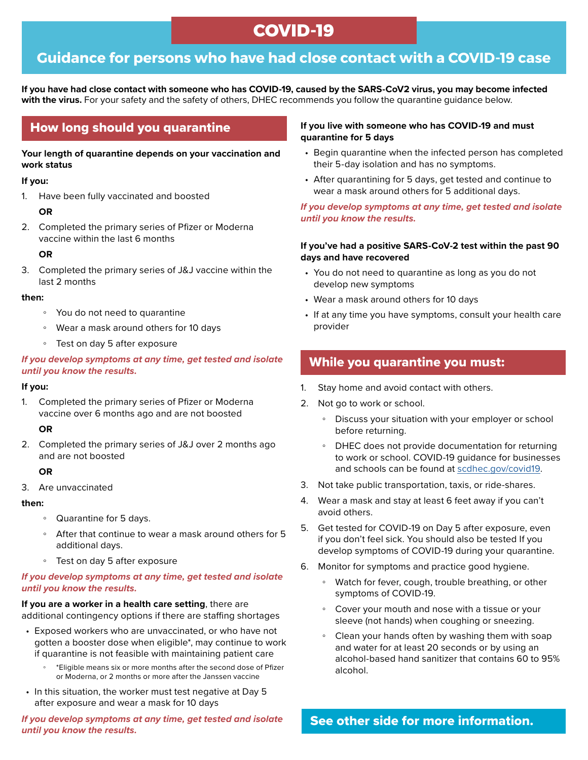# **COVID-19**

## **Guidance for persons who have had close contact with a COVID-19 case**

**If you have had close contact with someone who has COVID-19, caused by the SARS-CoV2 virus, you may become infected with the virus.** For your safety and the safety of others, DHEC recommends you follow the quarantine guidance below.

### How long should you quarantine

#### **Your length of quarantine depends on your vaccination and work status**

#### **If you:**

1. Have been fully vaccinated and boosted

#### **OR**

2. Completed the primary series of Pfizer or Moderna vaccine within the last 6 months

#### **OR**

3. Completed the primary series of J&J vaccine within the last 2 months

#### **then:**

- You do not need to quarantine
- Wear a mask around others for 10 days
- Test on day 5 after exposure

#### *If you develop symptoms at any time, get tested and isolate until you know the results.*

#### **If you:**

1. Completed the primary series of Pfizer or Moderna vaccine over 6 months ago and are not boosted

#### **OR**

2. Completed the primary series of J&J over 2 months ago and are not boosted

#### **OR**

3. Are unvaccinated

#### **then:**

- Quarantine for 5 days.
- After that continue to wear a mask around others for 5 additional days.
- Test on day 5 after exposure

#### *If you develop symptoms at any time, get tested and isolate until you know the results.*

#### **If you are a worker in a health care setting**, there are additional contingency options if there are staffing shortages

- Exposed workers who are unvaccinated, or who have not gotten a booster dose when eligible\*, may continue to work if quarantine is not feasible with maintaining patient care
	- \*Eligible means six or more months after the second dose of Pfizer or Moderna, or 2 months or more after the Janssen vaccine
- In this situation, the worker must test negative at Day 5 after exposure and wear a mask for 10 days

#### *If you develop symptoms at any time, get tested and isolate until you know the results.*

#### **If you live with someone who has COVID-19 and must quarantine for 5 days**

- Begin quarantine when the infected person has completed their 5-day isolation and has no symptoms.
- After quarantining for 5 days, get tested and continue to wear a mask around others for 5 additional days.

#### *If you develop symptoms at any time, get tested and isolate until you know the results.*

#### **If you've had a positive SARS-CoV-2 test within the past 90 days and have recovered**

- You do not need to quarantine as long as you do not develop new symptoms
- Wear a mask around others for 10 days
- If at any time you have symptoms, consult your health care provider

### While you quarantine you must:

- 1. Stay home and avoid contact with others.
- 2. Not go to work or school.
	- Discuss your situation with your employer or school before returning.
	- DHEC does not provide documentation for returning to work or school. COVID-19 guidance for businesses and schools can be found at [scdhec.gov/covid19.](http://scdhec.gov/covid19)
- 3. Not take public transportation, taxis, or ride-shares.
- 4. Wear a mask and stay at least 6 feet away if you can't avoid others.
- 5. Get tested for COVID-19 on Day 5 after exposure, even if you don't feel sick. You should also be tested If you develop symptoms of COVID-19 during your quarantine.
- 6. Monitor for symptoms and practice good hygiene.
	- Watch for fever, cough, trouble breathing, or other symptoms of COVID-19.
	- Cover your mouth and nose with a tissue or your sleeve (not hands) when coughing or sneezing.
	- Clean your hands often by washing them with soap and water for at least 20 seconds or by using an alcohol-based hand sanitizer that contains 60 to 95% alcohol.

See other side for more information.